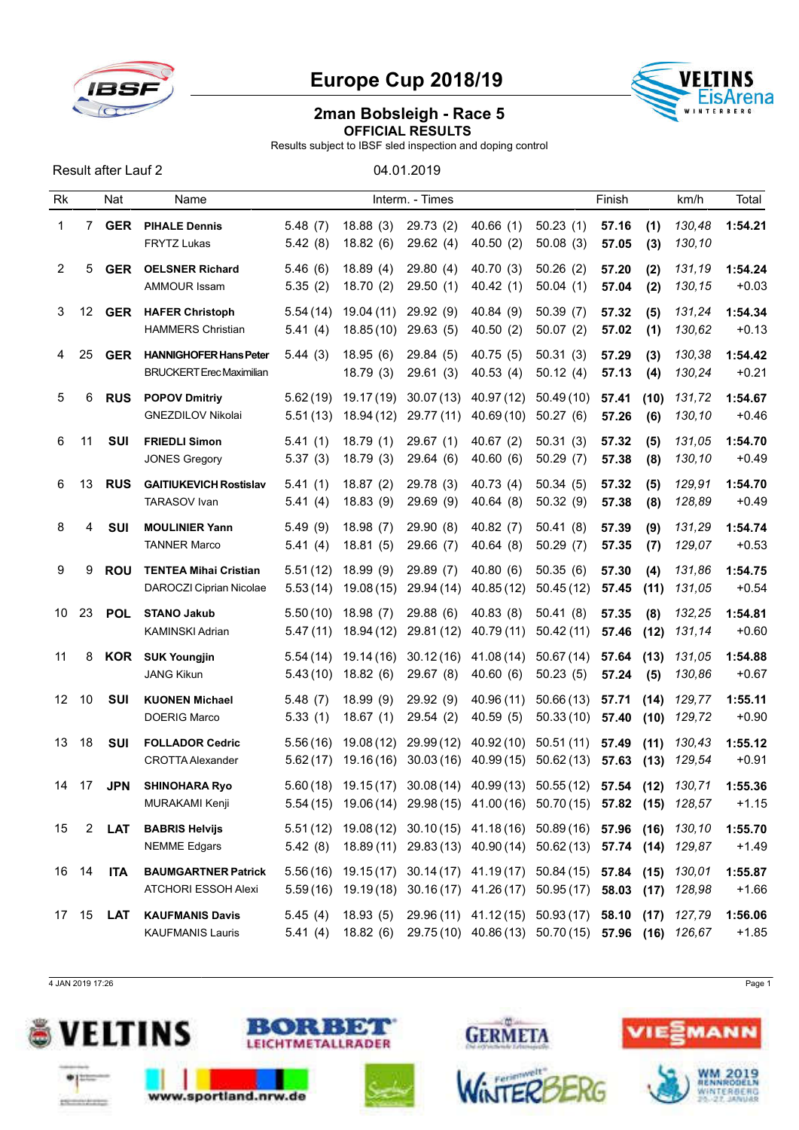

## Europe Cup 2018/19



## 2man Bobsleigh - Race 5 OFFICIAL RESULTS

Results subject to IBSF sled inspection and doping control

| <b>Result after Lauf 2</b> |  |  |
|----------------------------|--|--|
|                            |  |  |

04.01.2019

| Rk |                  | Nat        | Name                                                             |                      |                          | Interm. - Times         |                                                                                                                                                    |                         | Finish         |              | km/h             | Total              |
|----|------------------|------------|------------------------------------------------------------------|----------------------|--------------------------|-------------------------|----------------------------------------------------------------------------------------------------------------------------------------------------|-------------------------|----------------|--------------|------------------|--------------------|
| 1  | 7                | <b>GER</b> | <b>PIHALE Dennis</b><br><b>FRYTZ Lukas</b>                       | 5.48(7)<br>5.42(8)   | 18.88(3)<br>18.82(6)     | 29.73(2)<br>29.62(4)    | 40.66(1)<br>40.50(2)                                                                                                                               | 50.23(1)<br>50.08(3)    | 57.16<br>57.05 | (1)<br>(3)   | 130,48<br>130,10 | 1:54.21            |
| 2  | 5                | <b>GER</b> | <b>OELSNER Richard</b><br>AMMOUR Issam                           | 5.46(6)<br>5.35(2)   | 18.89(4)<br>18.70(2)     | 29.80(4)<br>29.50(1)    | 40.70 (3)<br>40.42(1)                                                                                                                              | 50.26(2)<br>50.04(1)    | 57.20<br>57.04 | (2)<br>(2)   | 131,19<br>130,15 | 1:54.24<br>$+0.03$ |
| 3  | 12 <sup>12</sup> | <b>GER</b> | <b>HAFER Christoph</b><br><b>HAMMERS Christian</b>               | 5.54(14)<br>5.41(4)  | 19.04 (11)<br>18.85(10)  | 29.92 (9)<br>29.63(5)   | 40.84 (9)<br>40.50(2)                                                                                                                              | 50.39(7)<br>50.07(2)    | 57.32<br>57.02 | (5)<br>(1)   | 131,24<br>130,62 | 1:54.34<br>$+0.13$ |
| 4  | 25               | <b>GER</b> | <b>HANNIGHOFER Hans Peter</b><br><b>BRUCKERT Erec Maximilian</b> | 5.44(3)              | 18.95(6)<br>18.79(3)     | 29.84 (5)<br>29.61(3)   | 40.75(5)<br>40.53(4)                                                                                                                               | 50.31(3)<br>50.12(4)    | 57.29<br>57.13 | (3)<br>(4)   | 130,38<br>130,24 | 1:54.42<br>$+0.21$ |
| 5  | 6                | <b>RUS</b> | <b>POPOV Dmitriy</b><br><b>GNEZDILOV Nikolai</b>                 | 5.62(19)<br>5.51(13) | 19.17 (19)<br>18.94 (12) | 30.07(13)<br>29.77 (11) | 40.97 (12)<br>40.69 (10)                                                                                                                           | 50.49(10)<br>50.27(6)   | 57.41<br>57.26 | (10)<br>(6)  | 131,72<br>130,10 | 1:54.67<br>$+0.46$ |
| 6  | 11               | <b>SUI</b> | <b>FRIEDLI Simon</b><br><b>JONES Gregory</b>                     | 5.41(1)<br>5.37(3)   | 18.79(1)<br>18.79(3)     | 29.67(1)<br>29.64(6)    | 40.67 $(2)$<br>40.60(6)                                                                                                                            | 50.31(3)<br>50.29(7)    | 57.32<br>57.38 | (5)<br>(8)   | 131,05<br>130,10 | 1:54.70<br>$+0.49$ |
| 6  | 13               | <b>RUS</b> | <b>GAITIUKEVICH Rostislav</b><br>TARASOV Ivan                    | 5.41(1)<br>5.41(4)   | 18.87(2)<br>18.83(9)     | 29.78 (3)<br>29.69 (9)  | 40.73(4)<br>40.64(8)                                                                                                                               | 50.34(5)<br>50.32(9)    | 57.32<br>57.38 | (5)<br>(8)   | 129,91<br>128,89 | 1:54.70<br>$+0.49$ |
| 8  | 4                | <b>SUI</b> | <b>MOULINIER Yann</b><br><b>TANNER Marco</b>                     | 5.49(9)<br>5.41(4)   | 18.98(7)<br>18.81(5)     | 29.90(8)<br>29.66 (7)   | 40.82 $(7)$<br>40.64(8)                                                                                                                            | 50.41(8)<br>50.29(7)    | 57.39<br>57.35 | (9)<br>(7)   | 131,29<br>129,07 | 1:54.74<br>$+0.53$ |
| 9  | 9                | <b>ROU</b> | <b>TENTEA Mihai Cristian</b><br>DAROCZI Ciprian Nicolae          | 5.51(12)<br>5.53(14) | 18.99(9)<br>19.08(15)    | 29.89 (7)<br>29.94 (14) | 40.80(6)<br>40.85(12)                                                                                                                              | 50.35(6)<br>50.45(12)   | 57.30<br>57.45 | (4)<br>(11)  | 131,86<br>131,05 | 1:54.75<br>$+0.54$ |
| 10 | 23               | <b>POL</b> | <b>STANO Jakub</b><br><b>KAMINSKI Adrian</b>                     | 5.50(10)<br>5.47(11) | 18.98(7)<br>18.94 (12)   | 29.88(6)<br>29.81 (12)  | 40.83(8)<br>40.79 (11)                                                                                                                             | 50.41(8)<br>50.42(11)   | 57.35<br>57.46 | (8)<br>(12)  | 132,25<br>131,14 | 1:54.81<br>$+0.60$ |
| 11 | 8                | <b>KOR</b> | <b>SUK Youngjin</b><br><b>JANG Kikun</b>                         | 5.54(14)<br>5.43(10) | 19.14 (16)<br>18.82(6)   | 30.12(16)<br>29.67(8)   | 41.08 (14)<br>40.60(6)                                                                                                                             | 50.67(14)<br>50.23(5)   | 57.64<br>57.24 | (13)<br>(5)  | 131,05<br>130,86 | 1:54.88<br>$+0.67$ |
| 12 | 10               | <b>SUI</b> | <b>KUONEN Michael</b><br><b>DOERIG Marco</b>                     | 5.48(7)<br>5.33(1)   | 18.99(9)<br>18.67(1)     | 29.92 (9)<br>29.54(2)   | 40.96 (11)<br>40.59(5)                                                                                                                             | 50.66(13)<br>50.33(10)  | 57.71<br>57.40 | (14)<br>(10) | 129,77<br>129,72 | 1:55.11<br>$+0.90$ |
| 13 | 18               | SUI        | <b>FOLLADOR Cedric</b><br><b>CROTTA Alexander</b>                | 5.56(16)<br>5.62(17) | 19.08 (12)<br>19.16(16)  | 29.99(12)               | 40.92(10)<br>$30.03(16)$ 40.99(15)                                                                                                                 | 50.51(11)<br>50.62 (13) | 57.49<br>57.63 | (11)<br>(13) | 130.43<br>129,54 | 1:55.12<br>$+0.91$ |
| 14 | 17               | <b>JPN</b> | <b>SHINOHARA Ryo</b><br>MURAKAMI Kenji                           |                      |                          |                         | 5.60 (18) 19.15 (17) 30.08 (14) 40.99 (13) 50.55 (12) 57.54 (12) 130,71<br>5.54 (15) 19.06 (14) 29.98 (15) 41.00 (16) 50.70 (15) 57.82 (15) 128,57 |                         |                |              |                  | 1:55.36<br>$+1.15$ |
| 15 | $2^{\circ}$      | LAT        | <b>BABRIS Helvijs</b><br><b>NEMME Edgars</b>                     | 5.42(8)              |                          |                         | 5.51 (12) 19.08 (12) 30.10 (15) 41.18 (16) 50.89 (16) 57.96 (16) 130,10<br>18.89 (11) 29.83 (13) 40.90 (14) 50.62 (13) 57.74 (14) 129,87           |                         |                |              |                  | 1:55.70<br>$+1.49$ |
|    | 16 14            | <b>ITA</b> | <b>BAUMGARTNER Patrick</b><br>ATCHORI ESSOH Alexi                |                      |                          |                         | 5.56(16) 19.15(17) 30.14(17) 41.19(17) 50.84(15) 57.84 (15) 130,01<br>5.59(16) 19.19(18) 30.16(17) 41.26(17) 50.95(17) 58.03 (17) 128,98           |                         |                |              |                  | 1:55.87<br>$+1.66$ |
|    | 17 15            | LAT        | <b>KAUFMANIS Davis</b><br><b>KAUFMANIS Lauris</b>                | 5.45(4)              |                          |                         | 18.93 (5) 29.96 (11) 41.12 (15) 50.93 (17) 58.10 (17)<br>5.41 (4) 18.82 (6) 29.75 (10) 40.86 (13) 50.70 (15) 57.96 (16) 126,67                     |                         |                |              | 127,79           | 1:56.06<br>$+1.85$ |

4 JAN 2019 17:26 Page 1









ROERO